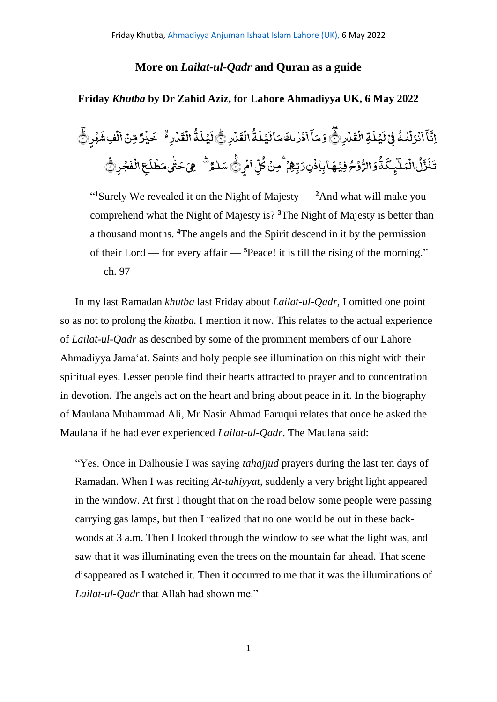## **More on** *Lailat-ul-Qadr* **and Quran as a guide**

## **Friday** *Khutba* **by Dr Zahid Aziz, for Lahore Ahmadiyya UK, 6 May 2022**

ر<br>لمارِ ١ <u>ّ</u> َّ ق ِۃال **أ** َّ ل ی <u>َ</u> َّ ن<br>فِیْ ڈ .<br>, ف ُ م<br>نزلنه ٰ ់<br>ទ <u>َ</u> َّ آ ِ<br>پ آ َّ اِثَّآ اَنۡرَلۡنٰٰٓ فَیۡ لَیۡلَـٰٓ الۡقَدۡارِ ۞ وَمَآ اَدۡرٰ ىكَ مَا لَیۡلَـٰٓةُ الۡقَدۡارِ ۞ .<br>ء َّ ق ال .<br>ء ُ ۃ َّ ل ی **أ** َّ ال َّ م َّ دُرْىكَ ٰ .<br>, َّ ا ِ<br>په وَمَآ أَدۡرٰىكَ مَاۤ لَيۡلَمُّ الۡقَدۡارِ ﴾ لَيۡلَمُّ الۡقَدۡارِ ۚ ۖ خَبۡرٌ .<br>, َّ مُارِ ُہ خَم .<br>, َّ ق ال .<br>ء ُ ۃ َّ ل ی **أ** َّ لَيۡلَٰٓ ۖ الۡقَدۡارِ ۚ خَيۡدٌ مِّنۡ اَلۡفِ شَهۡرِ ۗ .<br>ء َّ ِ<br>لُفِ شَ .<br>, َّ مِّنۡ اَلۡفِشۡهُرۡ ﴾ وۡمُ فِیۡهَابِاِذۡنِٖ رَبِّہِمۡ ۚ مِنۡ **ٔ** ؚ<br>ۣ **أ ٔ** ُ الر َّ و ُ ۃ َّ ِ<br>تِجِگ ٰٓ ا<br>نُعَلَ <u>َّ</u> ُ و<br>ل ِ<br>زُنَّی َّ ن َّ تَذَرُّلُ انۡمَلَـٰٓئِـكَۃُٰوَ الرُّوۡمُ فِيۡهَاۚ بِاِذۡنِ رَبِّهِمۡ ۚ مِنۡ كُلِّ اَمۡرِ رَّ **ٔ** َّ ن<br>یا آ ِ<br>ښا س<br>کل ُ كُلِّ اَمُرِنُّیَ سَلْمُرٌ ۖ هِيَ حَتَّىمَطَٰلَعِ الْفَجْرِ لِيَّ .<br>, َّ ف ال ِ ع .<br>, َّ ل ط َّ یم .<br>, ؚ<u>ؙ</u> j سَلْمُر<sup>َ ش</sup>ْهِيَ حَتَّى مَطۡلَحٖ الۡفَجۡرِ ۞َّ ٰ

"<sup>1</sup>Surely We revealed it on the Night of Majesty —  $2$ And what will make you comprehend what the Night of Majesty is? **<sup>3</sup>**The Night of Majesty is better than a thousand months. **<sup>4</sup>**The angels and the Spirit descend in it by the permission of their Lord — for every affair — **<sup>5</sup>**Peace! it is till the rising of the morning." — ch. 97

In my last Ramadan *khutba* last Friday about *Lailat-ul-Qadr,* I omitted one point so as not to prolong the *khutba.* I mention it now. This relates to the actual experience of *Lailat-ul-Qadr* as described by some of the prominent members of our Lahore Ahmadiyya Jama'at. Saints and holy people see illumination on this night with their spiritual eyes. Lesser people find their hearts attracted to prayer and to concentration in devotion. The angels act on the heart and bring about peace in it. In the biography of Maulana Muhammad Ali, Mr Nasir Ahmad Faruqui relates that once he asked the Maulana if he had ever experienced *Lailat-ul-Qadr*. The Maulana said:

"Yes. Once in Dalhousie I was saying *tahajjud* prayers during the last ten days of Ramadan. When I was reciting *At-tahiyyat,* suddenly a very bright light appeared in the window. At first I thought that on the road below some people were passing carrying gas lamps, but then I realized that no one would be out in these backwoods at 3 a.m. Then I looked through the window to see what the light was, and saw that it was illuminating even the trees on the mountain far ahead. That scene disappeared as I watched it. Then it occurred to me that it was the illuminations of *Lailat-ul-Qadr* that Allah had shown me."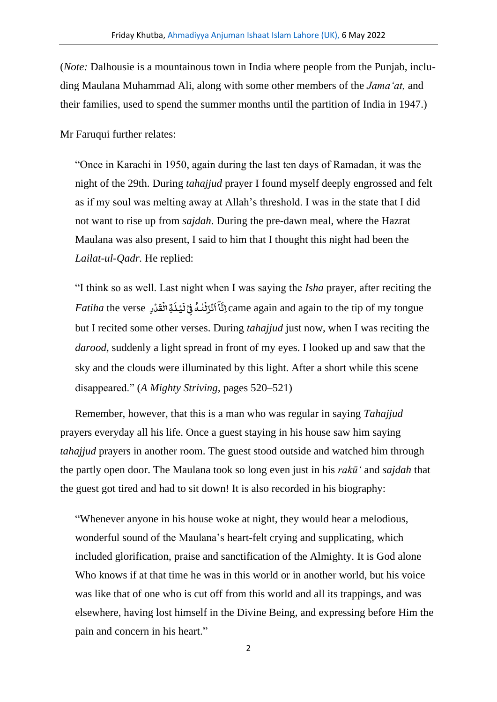(*Note:* Dalhousie is a mountainous town in India where people from the Punjab, including Maulana Muhammad Ali, along with some other members of the *Jama'at,* and their families, used to spend the summer months until the partition of India in 1947.)

Mr Faruqui further relates:

"Once in Karachi in 1950, again during the last ten days of Ramadan, it was the night of the 29th. During *tahajjud* prayer I found myself deeply engrossed and felt as if my soul was melting away at Allah's threshold. I was in the state that I did not want to rise up from *sajdah*. During the pre-dawn meal, where the Hazrat Maulana was also present, I said to him that I thought this night had been the *Lailat-ul-Qadr.* He replied:

"I think so as well. Last night when I was saying the *Isha* prayer, after reciting the .<br>تِّ الۡقَدۡرِ *Fatiha* the verse .<br>, ់<br>ទ َّ ل ی .<br>, .<br>بر اَنۡزَلۡنٰٰمُ فِیۡۖ { <u>់</u> ف ٰ <u>់</u> .<br>, ۤ آ دَّةِ) came again and again to the tip of my tongue but I recited some other verses. During *tahajjud* just now, when I was reciting the *darood,* suddenly a light spread in front of my eyes. I looked up and saw that the sky and the clouds were illuminated by this light. After a short while this scene disappeared." (*A Mighty Striving,* pages 520–521)

Remember, however, that this is a man who was regular in saying *Tahajjud* prayers everyday all his life. Once a guest staying in his house saw him saying *tahajjud* prayers in another room. The guest stood outside and watched him through the partly open door. The Maulana took so long even just in his *rakū'* and *sajdah* that the guest got tired and had to sit down! It is also recorded in his biography:

"Whenever anyone in his house woke at night, they would hear a melodious, wonderful sound of the Maulana's heart-felt crying and supplicating, which included glorification, praise and sanctification of the Almighty. It is God alone Who knows if at that time he was in this world or in another world, but his voice was like that of one who is cut off from this world and all its trappings, and was elsewhere, having lost himself in the Divine Being, and expressing before Him the pain and concern in his heart."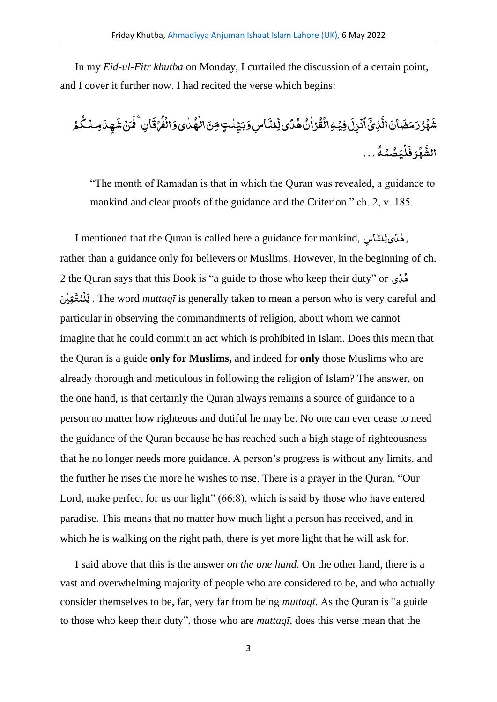In my *Eid-ul-Fitr khutba* on Monday, I curtailed the discussion of a certain point, and I cover it further now. I had recited the verse which begins:

َّ ِسو ا َّ ِلن یل ً د ُ ہ ُ ن ٰ ا رۡ ُ ق ۡ ِہال ۡ ِفی َّ ِل ز ۡ ن ُ ا ۤ ِذیۡ َّ ال َّ ان َّ ض َّ م َّ ر ُ ر ۡ ہ َّ ش َّ یو ٰ د ُ ہ ۡ ال ِنَّ ٍتم ٰ ن ِ ی َّ ب ا َّ ق ۡ ر ُ ف ۡ ال ُ م ُ ک ۡ ِمن َّ ِ د ہ َّ ش نۡ َّ م َّ ِنۚف ُ ہ ۡ م ُ ص َّ ی ۡ ل َّ ف رَّ ۡ ہ َّ الش ...

"The month of Ramadan is that in which the Quran was revealed, a guidance to mankind and clear proofs of the guidance and the Criterion." ch. 2, v. 185.

I mentioned that the Quran is called here a guidance for mankind, سِ ا َّ ِلن l. و<br>ملگي <u>ٿر</u> rather than a guidance only for believers or Muslims. However, in the beginning of ch. 2 the Quran says that this Book is "a guide to those who keep their duty" or ی ً د ُ ہ ِ<br>قِیْنَ .<br>, ِ<br>ِ<br>لِيُمَّدُّ , u<br>ب ل . The word *muttaqī* is generally taken to mean a person who is very careful and particular in observing the commandments of religion, about whom we cannot imagine that he could commit an act which is prohibited in Islam. Does this mean that the Quran is a guide **only for Muslims,** and indeed for **only** those Muslims who are already thorough and meticulous in following the religion of Islam? The answer, on the one hand, is that certainly the Quran always remains a source of guidance to a person no matter how righteous and dutiful he may be. No one can ever cease to need the guidance of the Quran because he has reached such a high stage of righteousness that he no longer needs more guidance. A person's progress is without any limits, and the further he rises the more he wishes to rise. There is a prayer in the Quran, "Our Lord, make perfect for us our light" (66:8), which is said by those who have entered paradise. This means that no matter how much light a person has received, and in which he is walking on the right path, there is yet more light that he will ask for.

I said above that this is the answer *on the one hand*. On the other hand, there is a vast and overwhelming majority of people who are considered to be, and who actually consider themselves to be, far, very far from being *muttaqī.* As the Quran is "a guide to those who keep their duty", those who are *muttaqī,* does this verse mean that the

3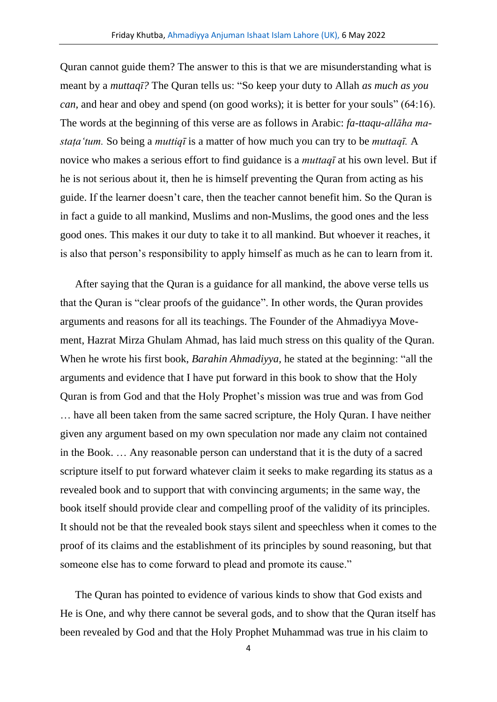Quran cannot guide them? The answer to this is that we are misunderstanding what is meant by a *muttaqī?* The Quran tells us: "So keep your duty to Allah *as much as you can,* and hear and obey and spend (on good works); it is better for your souls" (64:16). The words at the beginning of this verse are as follows in Arabic: *fa-ttaqu-allāha mastaṭa'tum.* So being a *muttiqī* is a matter of how much you can try to be *muttaqī.* A novice who makes a serious effort to find guidance is a *muttaqī* at his own level. But if he is not serious about it, then he is himself preventing the Quran from acting as his guide. If the learner doesn't care, then the teacher cannot benefit him. So the Quran is in fact a guide to all mankind, Muslims and non-Muslims, the good ones and the less good ones. This makes it our duty to take it to all mankind. But whoever it reaches, it is also that person's responsibility to apply himself as much as he can to learn from it.

After saying that the Quran is a guidance for all mankind, the above verse tells us that the Quran is "clear proofs of the guidance". In other words, the Quran provides arguments and reasons for all its teachings. The Founder of the Ahmadiyya Movement, Hazrat Mirza Ghulam Ahmad, has laid much stress on this quality of the Quran. When he wrote his first book, *Barahin Ahmadiyya,* he stated at the beginning: "all the arguments and evidence that I have put forward in this book to show that the Holy Quran is from God and that the Holy Prophet's mission was true and was from God … have all been taken from the same sacred scripture, the Holy Quran. I have neither given any argument based on my own speculation nor made any claim not contained in the Book. … Any reasonable person can understand that it is the duty of a sacred scripture itself to put forward whatever claim it seeks to make regarding its status as a revealed book and to support that with convincing arguments; in the same way, the book itself should provide clear and compelling proof of the validity of its principles. It should not be that the revealed book stays silent and speechless when it comes to the proof of its claims and the establishment of its principles by sound reasoning, but that someone else has to come forward to plead and promote its cause."

The Quran has pointed to evidence of various kinds to show that God exists and He is One, and why there cannot be several gods, and to show that the Quran itself has been revealed by God and that the Holy Prophet Muhammad was true in his claim to

4